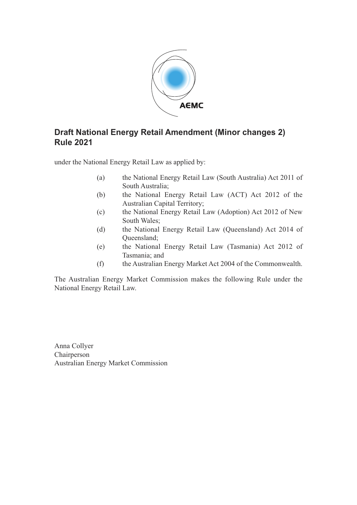

# **Draft National Energy Retail Amendment (Minor changes 2) Rule 2021**

under the National Energy Retail Law as applied by:

- (a) the National Energy Retail Law (South Australia) Act 2011 of South Australia;
- (b) the National Energy Retail Law (ACT) Act 2012 of the Australian Capital Territory;
- (c) the National Energy Retail Law (Adoption) Act 2012 of New South Wales;
- (d) the National Energy Retail Law (Queensland) Act 2014 of Queensland;
- (e) the National Energy Retail Law (Tasmania) Act 2012 of Tasmania; and
- (f) the Australian Energy Market Act 2004 of the Commonwealth.

The Australian Energy Market Commission makes the following Rule under the National Energy Retail Law.

Anna Collyer Chairperson Australian Energy Market Commission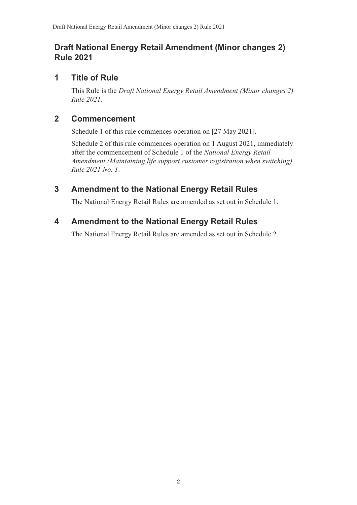# **Draft National Energy Retail Amendment (Minor changes 2) Rule 2021**

## **1 Title of Rule**

This Rule is the *Draft National Energy Retail Amendment (Minor changes 2) Rule 2021.*

## **2 Commencement**

Schedule 1 of this rule commences operation on [27 May 2021].

Schedule 2 of this rule commences operation on 1 August 2021, immediately after the commencement of Schedule 1 of the *National Energy Retail Amendment (Maintaining life support customer registration when switching) Rule 2021 No. 1*.

# **3 Amendment to the National Energy Retail Rules**

The National Energy Retail Rules are amended as set out in Schedule 1.

# **4 Amendment to the National Energy Retail Rules**

<span id="page-1-0"></span>The National Energy Retail Rules are amended as set out in [Schedule 2.](#page-2-0)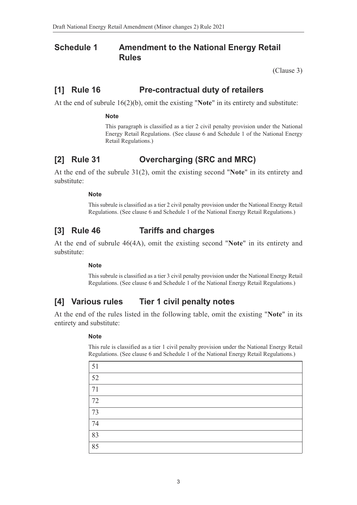### **Schedule 1 Amendment to the National Energy Retail Rules**

<span id="page-2-0"></span>(Clause 3)

### **[1] Rule 16 Pre-contractual duty of retailers**

At the end of subrule 16(2)(b), omit the existing "**Note**" in its entirety and s[ubstitute:](#page-1-0)

#### **Note**

This paragraph is classified as a tier 2 civil penalty provision under the National Energy Retail Regulations. (See clause 6 and Schedule 1 of the National Energy Retail Regulations.)

### **[2] Rule 31 Overcharging (SRC and MRC)**

At the end of the subrule 31(2), omit the existing second "**Note**" in its entirety and substitute:

#### **Note**

This subrule is classified as a tier 2 civil penalty provision under the National Energy Retail Regulations. (See clause 6 and Schedule 1 of the National Energy Retail Regulations.)

### **[3] Rule 46 Tariffs and charges**

At the end of subrule 46(4A), omit the existing second "**Note**" in its entirety and substitute:

#### **Note**

This subrule is classified as a tier 3 civil penalty provision under the National Energy Retail Regulations. (See clause 6 and Schedule 1 of the National Energy Retail Regulations.)

### **[4] Various rules Tier 1 civil penalty notes**

At the end of the rules listed in the following table, omit the existing "**Note**" in its entirety and substitute:

#### **Note**

This rule is classified as a tier 1 civil penalty provision under the National Energy Retail Regulations. (See clause 6 and Schedule 1 of the National Energy Retail Regulations.)

| 51 |  |
|----|--|
| 52 |  |
| 71 |  |
| 72 |  |
| 73 |  |
| 74 |  |
| 83 |  |
| 85 |  |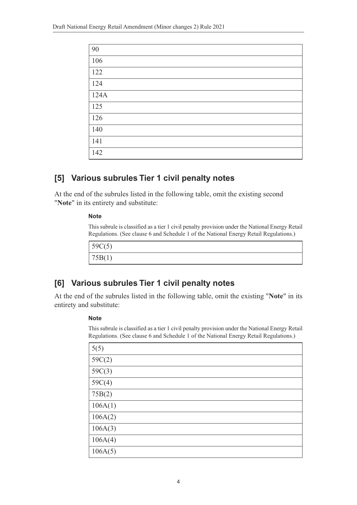| 90   |
|------|
| 106  |
| 122  |
| 124  |
| 124A |
| 125  |
| 126  |
| 140  |
| 141  |
| 142  |

## **[5] Various subrules Tier 1 civil penalty notes**

At the end of the subrules listed in the following table, omit the existing second "**Note**" in its entirety and substitute:

#### **Note**

This subrule is classified as a tier 1 civil penalty provision under the National Energy Retail Regulations. (See clause 6 and Schedule 1 of the National Energy Retail Regulations.)

```
59C(5)
75B(1)
```
### **[6] Various subrules Tier 1 civil penalty notes**

At the end of the subrules listed in the following table, omit the existing "**Note**" in its entirety and substitute:

#### **Note**

This subrule is classified as a tier 1 civil penalty provision under the National Energy Retail Regulations. (See clause 6 and Schedule 1 of the National Energy Retail Regulations.)

| 5(5)    |
|---------|
| 59C(2)  |
| 59C(3)  |
| 59C(4)  |
| 75B(2)  |
| 106A(1) |
| 106A(2) |
| 106A(3) |
| 106A(4) |
| 106A(5) |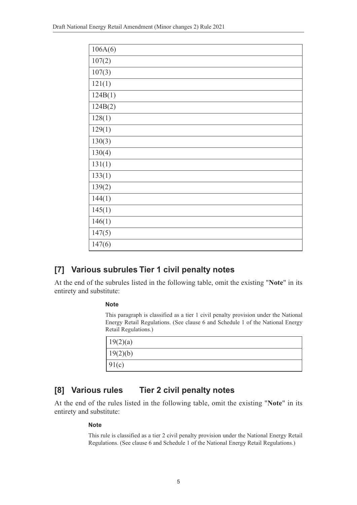| 106A(6) |
|---------|
| 107(2)  |
| 107(3)  |
| 121(1)  |
| 124B(1) |
| 124B(2) |
| 128(1)  |
| 129(1)  |
| 130(3)  |
| 130(4)  |
| 131(1)  |
| 133(1)  |
| 139(2)  |
| 144(1)  |
| 145(1)  |
| 146(1)  |
| 147(5)  |
| 147(6)  |

# **[7] Various subrules Tier 1 civil penalty notes**

At the end of the subrules listed in the following table, omit the existing "**Note**" in its entirety and substitute:

#### **Note**

This paragraph is classified as a tier 1 civil penalty provision under the National Energy Retail Regulations. (See clause 6 and Schedule 1 of the National Energy Retail Regulations.)

| 19(2)(a) |  |
|----------|--|
| 19(2)(b) |  |
| 91(c)    |  |

## **[8] Various rules Tier 2 civil penalty notes**

At the end of the rules listed in the following table, omit the existing "**Note**" in its entirety and substitute:

#### **Note**

This rule is classified as a tier 2 civil penalty provision under the National Energy Retail Regulations. (See clause 6 and Schedule 1 of the National Energy Retail Regulations.)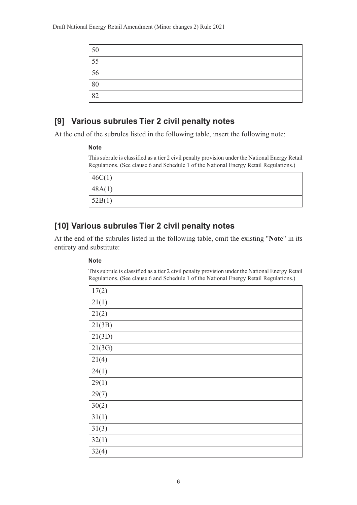| $\frac{50}{ }$  |  |
|-----------------|--|
| $\frac{55}{5}$  |  |
| $\boxed{56}$    |  |
| $\frac{80}{82}$ |  |
|                 |  |

## **[9] Various subrules Tier 2 civil penalty notes**

At the end of the subrules listed in the following table, insert the following note:

#### **Note**

This subrule is classified as a tier 2 civil penalty provision under the National Energy Retail Regulations. (See clause 6 and Schedule 1 of the National Energy Retail Regulations.)

| 46C(1) |  |
|--------|--|
| 48A(1) |  |
| 52B(1) |  |

# **[10] Various subrules Tier 2 civil penalty notes**

At the end of the subrules listed in the following table, omit the existing "**Note**" in its entirety and substitute:

#### **Note**

This subrule is classified as a tier 2 civil penalty provision under the National Energy Retail Regulations. (See clause 6 and Schedule 1 of the National Energy Retail Regulations.)

| 17(2)  |
|--------|
| 21(1)  |
| 21(2)  |
| 21(3B) |
| 21(3D) |
| 21(3G) |
| 21(4)  |
| 24(1)  |
| 29(1)  |
| 29(7)  |
| 30(2)  |
| 31(1)  |
| 31(3)  |
| 32(1)  |
| 32(4)  |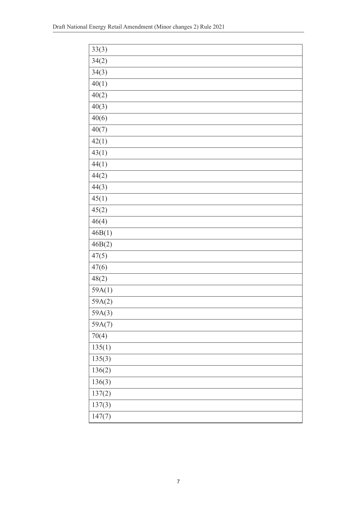| 33(3)  |
|--------|
| 34(2)  |
| 34(3)  |
| 40(1)  |
| 40(2)  |
| 40(3)  |
| 40(6)  |
| 40(7)  |
| 42(1)  |
| 43(1)  |
| 44(1)  |
| 44(2)  |
| 44(3)  |
| 45(1)  |
| 45(2)  |
| 46(4)  |
| 46B(1) |
| 46B(2) |
| 47(5)  |
| 47(6)  |
| 48(2)  |
| 59A(1) |
| 59A(2) |
| 59A(3) |
| 59A(7) |
| 70(4)  |
| 135(1) |
| 135(3) |
| 136(2) |
| 136(3) |
| 137(2) |
| 137(3) |
| 147(7) |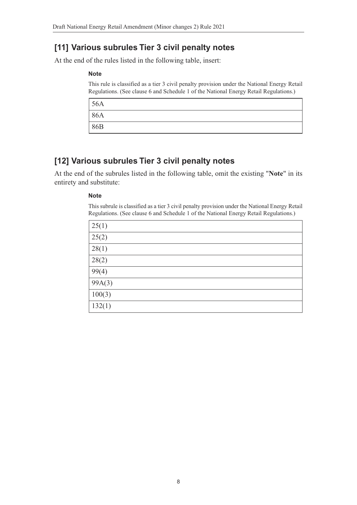# **[11] Various subrules Tier 3 civil penalty notes**

At the end of the rules listed in the following table, insert:

#### **Note**

This rule is classified as a tier 3 civil penalty provision under the National Energy Retail Regulations. (See clause 6 and Schedule 1 of the National Energy Retail Regulations.)

| $\frac{56A}{ }$ |  |
|-----------------|--|
| 86A             |  |
| 86B             |  |

# **[12] Various subrules Tier 3 civil penalty notes**

At the end of the subrules listed in the following table, omit the existing "**Note**" in its entirety and substitute:

### **Note**

This subrule is classified as a tier 3 civil penalty provision under the National Energy Retail Regulations. (See clause 6 and Schedule 1 of the National Energy Retail Regulations.)

| 25(1)  |  |
|--------|--|
| 25(2)  |  |
| 28(1)  |  |
| 28(2)  |  |
| 99(4)  |  |
| 99A(3) |  |
| 100(3) |  |
| 132(1) |  |